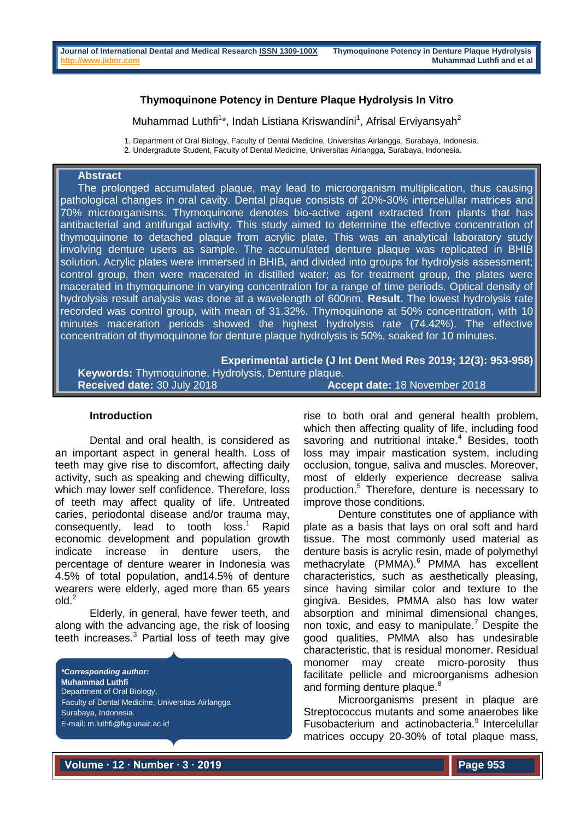# **Thymoquinone Potency in Denture Plaque Hydrolysis In Vitro**

Muhammad Luthfi<sup>1\*</sup>, Indah Listiana Kriswandini<sup>1</sup>, Afrisal Erviyansyah<sup>2</sup>

1. Department of Oral Biology, Faculty of Dental Medicine, Universitas Airlangga, Surabaya, Indonesia.

2. Undergradute Student, Faculty of Dental Medicine, Universitas Airlangga, Surabaya, Indonesia.

## **Abstract**

The prolonged accumulated plaque, may lead to microorganism multiplication, thus causing pathological changes in oral cavity. Dental plaque consists of 20%-30% intercelullar matrices and 70% microorganisms. Thymoquinone denotes bio-active agent extracted from plants that has antibacterial and antifungal activity. This study aimed to determine the effective concentration of thymoquinone to detached plaque from acrylic plate. This was an analytical laboratory study involving denture users as sample. The accumulated denture plaque was replicated in BHIB solution. Acrylic plates were immersed in BHIB, and divided into groups for hydrolysis assessment; control group, then were macerated in distilled water; as for treatment group, the plates were macerated in thymoquinone in varying concentration for a range of time periods. Optical density of hydrolysis result analysis was done at a wavelength of 600nm. **Result.** The lowest hydrolysis rate recorded was control group, with mean of 31.32%. Thymoquinone at 50% concentration, with 10 minutes maceration periods showed the highest hydrolysis rate (74.42%). The effective concentration of thymoquinone for denture plaque hydrolysis is 50%, soaked for 10 minutes.

**Experimental article (J Int Dent Med Res 2019; 12(3): 953-958) Keywords:** Thymoquinone, Hydrolysis, Denture plaque. **Received date:** 30 July 2018 **Accept date:** 18 November 2018

#### **Introduction**

Dental and oral health, is considered as an important aspect in general health. Loss of teeth may give rise to discomfort, affecting daily activity, such as speaking and chewing difficulty, which may lower self confidence. Therefore, loss of teeth may affect quality of life. Untreated caries, periodontal disease and/or trauma may, consequently, lead to tooth loss. **Rapid** economic development and population growth indicate increase in denture users, the percentage of denture wearer in Indonesia was 4.5% of total population, and14.5% of denture wearers were elderly, aged more than 65 years  $old<sup>2</sup>$ 

Elderly, in general, have fewer teeth, and along with the advancing age, the risk of loosing teeth increases.<sup>3</sup> Partial loss of teeth may give

*\*Corresponding author:* **Muhammad Luthfi** Department of Oral Biology, Faculty of Dental Medicine, Universitas Airlangga Surabaya, Indonesia. E-mail: m.luthfi@fkg.unair.ac.id

rise to both oral and general health problem, which then affecting quality of life, including food savoring and nutritional intake.<sup>4</sup> Besides, tooth loss may impair mastication system, including occlusion, tongue, saliva and muscles. Moreover, most of elderly experience decrease saliva production.<sup>5</sup> Therefore, denture is necessary to improve those conditions.

Denture constitutes one of appliance with plate as a basis that lays on oral soft and hard tissue. The most commonly used material as denture basis is acrylic resin, made of polymethyl methacrylate (PMMA).<sup>6</sup> PMMA has excellent characteristics, such as aesthetically pleasing, since having similar color and texture to the gingiva. Besides, PMMA also has low water absorption and minimal dimensional changes, non toxic, and easy to manipulate.<sup>7</sup> Despite the good qualities, PMMA also has undesirable characteristic, that is residual monomer. Residual monomer may create micro-porosity thus facilitate pellicle and microorganisms adhesion and forming denture plaque.<sup>8</sup>

Microorganisms present in plaque are Streptococcus mutants and some anaerobes like Fusobacterium and actinobacteria.<sup>9</sup> Intercelullar matrices occupy 20-30% of total plaque mass,

**Volume ∙ 12 ∙ Number ∙ 3 ∙ 2019**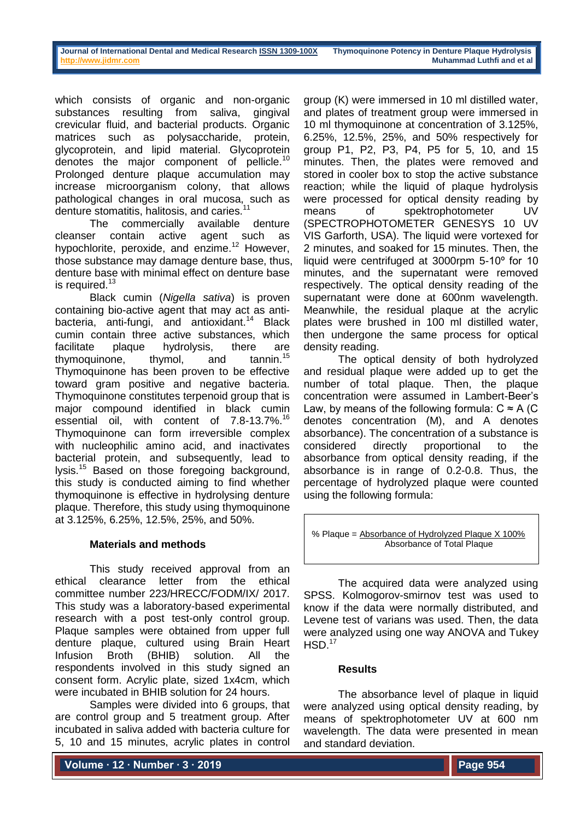which consists of organic and non-organic substances resulting from saliva, gingival crevicular fluid, and bacterial products. Organic matrices such as polysaccharide, protein, glycoprotein, and lipid material. Glycoprotein denotes the major component of pellicle.<sup>10</sup> Prolonged denture plaque accumulation may increase microorganism colony, that allows pathological changes in oral mucosa, such as denture stomatitis, halitosis, and caries.<sup>11</sup>

The commercially available denture cleanser contain active agent such as hypochlorite, peroxide, and enzime.<sup>12</sup> However, those substance may damage denture base, thus, denture base with minimal effect on denture base is required. $13$ 

Black cumin (*Nigella sativa*) is proven containing bio-active agent that may act as antibacteria, anti-fungi, and antioxidant.<sup>14</sup> Black cumin contain three active substances, which facilitate plaque hydrolysis, there are thymoquinone, thymol, and tannin.<sup>15</sup> Thymoquinone has been proven to be effective toward gram positive and negative bacteria. Thymoquinone constitutes terpenoid group that is major compound identified in black cumin essential oil, with content of 7.8-13.7%.<sup>16</sup> Thymoquinone can form irreversible complex with nucleophilic amino acid, and inactivates bacterial protein, and subsequently, lead to lysis.<sup>15</sup> Based on those foregoing background, this study is conducted aiming to find whether thymoquinone is effective in hydrolysing denture plaque. Therefore, this study using thymoquinone at 3.125%, 6.25%, 12.5%, 25%, and 50%.

#### **Materials and methods**

This study received approval from an ethical clearance letter from the ethical committee number 223/HRECC/FODM/IX/ 2017. This study was a laboratory-based experimental research with a post test-only control group. Plaque samples were obtained from upper full denture plaque, cultured using Brain Heart Infusion Broth (BHIB) solution. All the respondents involved in this study signed an consent form. Acrylic plate, sized 1x4cm, which were incubated in BHIB solution for 24 hours.

Samples were divided into 6 groups, that are control group and 5 treatment group. After incubated in saliva added with bacteria culture for 5, 10 and 15 minutes, acrylic plates in control

group (K) were immersed in 10 ml distilled water, and plates of treatment group were immersed in 10 ml thymoquinone at concentration of 3.125%, 6.25%, 12.5%, 25%, and 50% respectively for group P1, P2, P3, P4, P5 for 5, 10, and 15 minutes. Then, the plates were removed and stored in cooler box to stop the active substance reaction; while the liquid of plaque hydrolysis were processed for optical density reading by means of spektrophotometer UV (SPECTROPHOTOMETER GENESYS 10 UV VIS Garforth, USA). The liquid were vortexed for 2 minutes, and soaked for 15 minutes. Then, the liquid were centrifuged at 3000rpm 5-10º for 10 minutes, and the supernatant were removed respectively. The optical density reading of the supernatant were done at 600nm wavelength. Meanwhile, the residual plaque at the acrylic plates were brushed in 100 ml distilled water, then undergone the same process for optical density reading.

The optical density of both hydrolyzed and residual plaque were added up to get the number of total plaque. Then, the plaque concentration were assumed in Lambert-Beer's Law, by means of the following formula:  $C \approx A$  (C denotes concentration (M), and A denotes absorbance). The concentration of a substance is considered directly proportional to the absorbance from optical density reading, if the absorbance is in range of 0.2-0.8. Thus, the percentage of hydrolyzed plaque were counted using the following formula:

% Plaque = Absorbance of Hydrolyzed Plaque X 100% Absorbance of Total Plaque

The acquired data were analyzed using SPSS. Kolmogorov-smirnov test was used to know if the data were normally distributed, and Levene test of varians was used. Then, the data were analyzed using one way ANOVA and Tukey  $HSD.<sup>17</sup>$ 

#### **Results**

The absorbance level of plaque in liquid were analyzed using optical density reading, by means of spektrophotometer UV at 600 nm wavelength. The data were presented in mean and standard deviation.

**Volume ∙ 12 ∙ Number ∙ 3 ∙ 2019**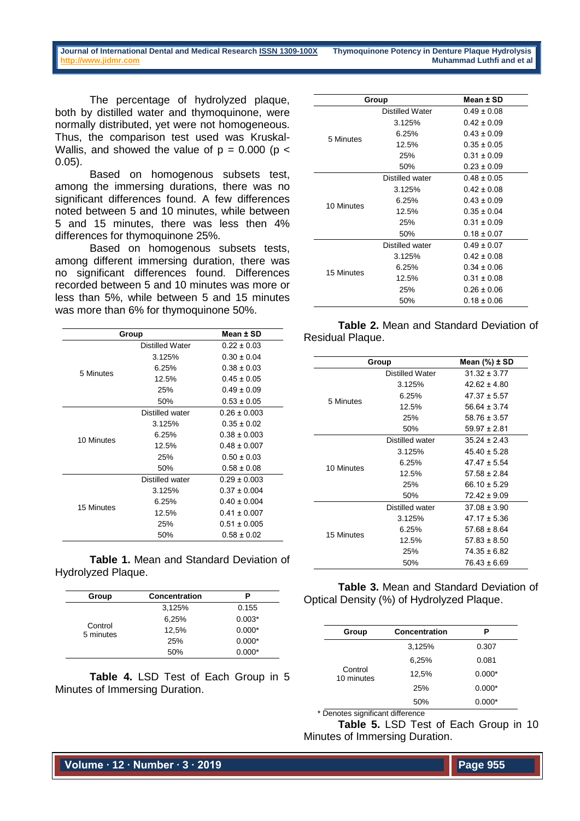The percentage of hydrolyzed plaque, both by distilled water and thymoquinone, were normally distributed, yet were not homogeneous. Thus, the comparison test used was Kruskal-Wallis, and showed the value of  $p = 0.000$  ( $p <$ 0.05).

Based on homogenous subsets test, among the immersing durations, there was no significant differences found. A few differences noted between 5 and 10 minutes, while between 5 and 15 minutes, there was less then 4% differences for thymoquinone 25%.

Based on homogenous subsets tests, among different immersing duration, there was no significant differences found. Differences recorded between 5 and 10 minutes was more or less than 5%, while between 5 and 15 minutes was more than 6% for thymoquinone 50%.

|            | Group           | Mean ± SD        |
|------------|-----------------|------------------|
|            | Distilled Water | $0.22 \pm 0.03$  |
|            | 3.125%          | $0.30 \pm 0.04$  |
| 5 Minutes  | 6.25%           | $0.38 \pm 0.03$  |
|            | 12.5%           | $0.45 \pm 0.05$  |
|            | 25%             | $0.49 \pm 0.09$  |
|            | 50%             | $0.53 \pm 0.05$  |
|            | Distilled water | $0.26 \pm 0.003$ |
|            | 3.125%          | $0.35 \pm 0.02$  |
| 10 Minutes | 6.25%           | $0.38 \pm 0.003$ |
|            | 12.5%           | $0.48 \pm 0.007$ |
|            | 25%             | $0.50 \pm 0.03$  |
|            | 50%             | $0.58 \pm 0.08$  |
|            | Distilled water | $0.29 \pm 0.003$ |
|            | 3.125%          | $0.37 \pm 0.004$ |
|            | 6.25%           | $0.40 \pm 0.004$ |
| 15 Minutes | 12.5%           | $0.41 \pm 0.007$ |
|            | 25%             | $0.51 \pm 0.005$ |
|            | 50%             | $0.58 \pm 0.02$  |

**Table 1.** Mean and Standard Deviation of Hydrolyzed Plaque.

| Group                | <b>Concentration</b> | Р        |
|----------------------|----------------------|----------|
|                      | 3,125%               | 0.155    |
|                      | 6,25%                | $0.003*$ |
| Control<br>5 minutes | 12,5%                | $0.000*$ |
|                      | 25%                  | $0.000*$ |
|                      | 50%                  | $0.000*$ |

**Table 4.** LSD Test of Each Group in 5 Minutes of Immersing Duration.

|            | Group                  | Mean ± SD       |
|------------|------------------------|-----------------|
|            | <b>Distilled Water</b> | $0.49 \pm 0.08$ |
|            | 3.125%                 | $0.42 \pm 0.09$ |
| 5 Minutes  | 6.25%                  | $0.43 \pm 0.09$ |
|            | 12.5%                  | $0.35 \pm 0.05$ |
|            | 25%                    | $0.31 \pm 0.09$ |
|            | 50%                    | $0.23 \pm 0.09$ |
|            | Distilled water        | $0.48 \pm 0.05$ |
|            | 3.125%                 | $0.42 + 0.08$   |
| 10 Minutes | 6.25%                  | $0.43 \pm 0.09$ |
|            | 12.5%                  | $0.35 + 0.04$   |
|            | 25%                    | $0.31 + 0.09$   |
|            | 50%                    | $0.18 \pm 0.07$ |
|            | Distilled water        | $0.49 + 0.07$   |
|            | 3.125%                 | $0.42 + 0.08$   |
| 15 Minutes | 6.25%                  | $0.34 \pm 0.06$ |
|            | 12.5%                  | $0.31 \pm 0.08$ |
|            | 25%                    | 0 26 + 0 06     |
|            | 50%                    | 0 18 + 0 06     |

|                  |  | <b>Table 2. Mean and Standard Deviation of</b> |  |
|------------------|--|------------------------------------------------|--|
| Residual Plaque. |  |                                                |  |

|            | Group           | Mean (%) ± SD    |
|------------|-----------------|------------------|
|            | Distilled Water | $3132 + 377$     |
|            | 3.125%          | 42 62 + 4 80     |
| 5 Minutes  | 6.25%           | $47.37 \pm 5.57$ |
|            | 12.5%           | $56.64 \pm 3.74$ |
|            | 25%             | $58.76 \pm 3.57$ |
|            | 50%             | $59.97 \pm 2.81$ |
|            | Distilled water | $35.24 \pm 2.43$ |
|            | 3.125%          | $45.40 \pm 5.28$ |
| 10 Minutes | 6.25%           | $47.47 \pm 5.54$ |
|            | 12.5%           | $57.58 \pm 2.84$ |
|            | 25%             | $66.10 \pm 5.29$ |
|            | 50%             | $72.42 \pm 9.09$ |
|            | Distilled water | $37.08 \pm 3.90$ |
|            | 3.125%          | 47 17 + 5 36     |
| 15 Minutes | 6.25%           | $57.68 \pm 8.64$ |
|            | 12.5%           | $57.83 \pm 8.50$ |
|            | 25%             | $74.35 \pm 6.82$ |
|            | 50%             | $76.43 \pm 6.69$ |

**Table 3.** Mean and Standard Deviation of Optical Density (%) of Hydrolyzed Plaque.

| Group                 | Concentration | Р        |
|-----------------------|---------------|----------|
|                       | 3,125%        | 0.307    |
|                       | 6,25%         | 0.081    |
| Control<br>10 minutes | 12,5%         | $0.000*$ |
|                       | 25%           | $0.000*$ |
|                       | 50%           | $0.000*$ |

<sup>\*</sup> Denotes significant difference

**Table 5.** LSD Test of Each Group in 10 Minutes of Immersing Duration.

**Volume ∙ 12 ∙ Number ∙ 3 ∙ 2019**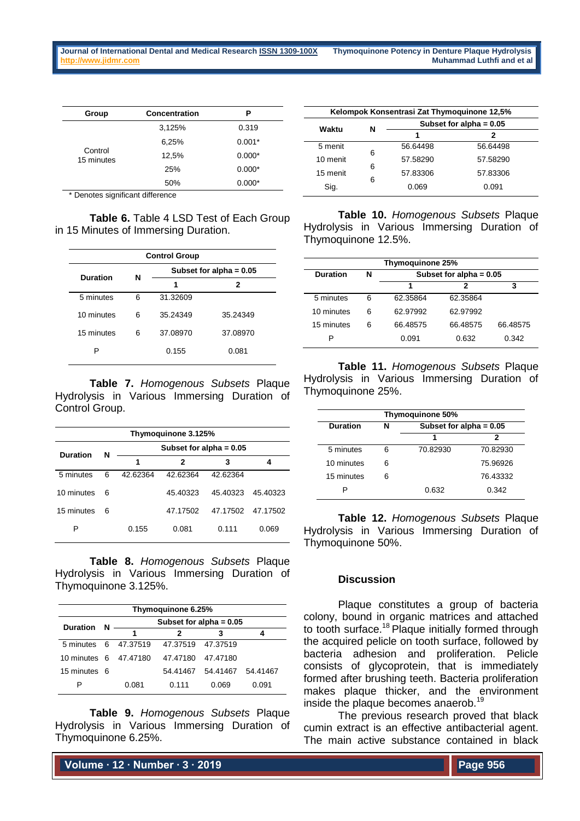| Group                 | Concentration | P        |
|-----------------------|---------------|----------|
| Control<br>15 minutes | 3,125%        | 0.319    |
|                       | 6,25%         | $0.001*$ |
|                       | 12,5%         | $0.000*$ |
|                       | 25%           | $0.000*$ |
|                       | 50%           | $0.000*$ |

Denotes significant difference

**Table 6.** Table 4 LSD Test of Each Group in 15 Minutes of Immersing Duration.

| <b>Control Group</b> |   |                           |          |  |
|----------------------|---|---------------------------|----------|--|
| <b>Duration</b>      | N | Subset for alpha $= 0.05$ |          |  |
|                      |   | 1                         | 2        |  |
| 5 minutes            | 6 | 31.32609                  |          |  |
| 10 minutes           | 6 | 35.24349                  | 35.24349 |  |
| 15 minutes           | 6 | 37.08970                  | 37.08970 |  |
| Р                    |   | 0.155                     | 0.081    |  |

**Table 7.** *Homogenous Subsets* Plaque Hydrolysis in Various Immersing Duration of Control Group.

| Thymoguinone 3.125% |   |          |                           |          |                   |  |
|---------------------|---|----------|---------------------------|----------|-------------------|--|
| Duration            |   |          | Subset for alpha $= 0.05$ |          |                   |  |
|                     | N | 1        | 2                         | 3        |                   |  |
| 5 minutes           | 6 | 42.62364 | 42.62364                  | 42.62364 |                   |  |
| 10 minutes          | 6 |          | 45.40323                  | 45.40323 | 45.40323          |  |
| 15 minutes          | 6 |          | 47.17502                  |          | 47.17502 47.17502 |  |
| Р                   |   | 0.155    | 0.081                     | 0.111    | 0.069             |  |

**Table 8.** *Homogenous Subsets* Plaque Hydrolysis in Various Immersing Duration of Thymoquinone 3.125%.

| Thymoguinone 6.25%    |   |                           |                   |          |          |  |
|-----------------------|---|---------------------------|-------------------|----------|----------|--|
| <b>Duration</b>       | N | Subset for alpha = $0.05$ |                   |          |          |  |
|                       |   |                           |                   |          |          |  |
| 5 minutes 6 47,37519  |   |                           | 47.37519 47.37519 |          |          |  |
| 10 minutes 6 47,47180 |   |                           | 47.47180          | 47.47180 |          |  |
| 15 minutes 6          |   |                           | 54.41467          | 54.41467 | 54.41467 |  |
|                       |   | 0.081                     | 0.111             | 0.069    | 0.091    |  |

**Table 9.** *Homogenous Subsets* Plaque Hydrolysis in Various Immersing Duration of Thymoquinone 6.25%.

| Kelompok Konsentrasi Zat Thymoquinone 12,5% |   |                           |          |  |
|---------------------------------------------|---|---------------------------|----------|--|
| Waktu                                       | N | Subset for alpha = $0.05$ |          |  |
|                                             |   | 1                         | 2        |  |
| 5 menit                                     | 6 | 56.64498                  | 56.64498 |  |
| 10 menit                                    |   | 57.58290                  | 57.58290 |  |
| 15 menit                                    | 6 | 57.83306                  | 57.83306 |  |
| Sig.                                        | 6 | 0.069                     | 0.091    |  |

**Table 10.** *Homogenous Subsets* Plaque Hydrolysis in Various Immersing Duration of Thymoquinone 12.5%.

| Thymoguinone 25% |   |                           |          |          |  |  |
|------------------|---|---------------------------|----------|----------|--|--|
| Duration         | N | Subset for alpha = $0.05$ |          |          |  |  |
|                  |   | 2<br>3<br>1               |          |          |  |  |
| 5 minutes        | 6 | 62.35864                  | 62.35864 |          |  |  |
| 10 minutes       | 6 | 62.97992                  | 62.97992 |          |  |  |
| 15 minutes       | 6 | 66.48575                  | 66.48575 | 66.48575 |  |  |
| Р                |   | 0.091                     | 0.632    | 0.342    |  |  |

**Table 11.** *Homogenous Subsets* Plaque Hydrolysis in Various Immersing Duration of Thymoquinone 25%.

| Thymoguinone 50% |   |                           |          |
|------------------|---|---------------------------|----------|
| <b>Duration</b>  | N | Subset for alpha = $0.05$ |          |
|                  |   | 1                         | 2        |
| 5 minutes        | 6 | 70.82930                  | 70.82930 |
| 10 minutes       | 6 |                           | 75.96926 |
| 15 minutes       | 6 |                           | 76.43332 |
|                  |   | 0.632                     | 0.342    |

**Table 12.** *Homogenous Subsets* Plaque Hydrolysis in Various Immersing Duration of Thymoquinone 50%.

## **Discussion**

Plaque constitutes a group of bacteria colony, bound in organic matrices and attached to tooth surface.<sup>18</sup> Plaque initially formed through the acquired pelicle on tooth surface, followed by bacteria adhesion and proliferation. Pelicle consists of glycoprotein, that is immediately formed after brushing teeth. Bacteria proliferation makes plaque thicker, and the environment inside the plaque becomes anaerob.<sup>19</sup>

The previous research proved that black cumin extract is an effective antibacterial agent. The main active substance contained in black

**Volume ∙ 12 ∙ Number ∙ 3 ∙ 2019**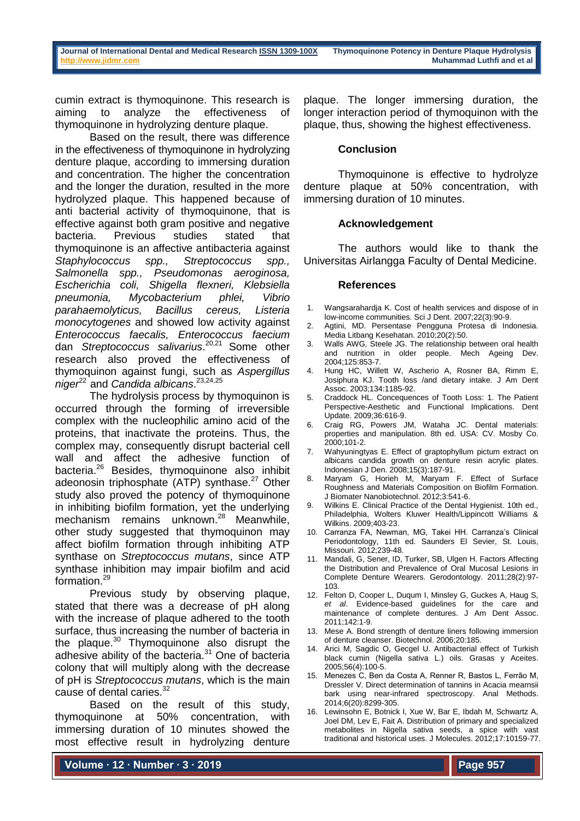cumin extract is thymoquinone. This research is aiming to analyze the effectiveness of thymoquinone in hydrolyzing denture plaque.

Based on the result, there was difference in the effectiveness of thymoquinone in hydrolyzing denture plaque, according to immersing duration and concentration. The higher the concentration and the longer the duration, resulted in the more hydrolyzed plaque. This happened because of anti bacterial activity of thymoquinone, that is effective against both gram positive and negative bacteria. Previous studies stated that thymoquinone is an affective antibacteria against *Staphylococcus spp., Streptococcus spp., Salmonella spp., Pseudomonas aeroginosa, Escherichia coli, Shigella flexneri, Klebsiella pneumonia, Mycobacterium phlei, Vibrio parahaemolyticus, Bacillus cereus, Listeria monocytogenes* and showed low activity against *Enterococcus faecalis, Enterococcus faecium* dan *Streptococcus salivarius*. 20,21 Some other research also proved the effectiveness of thymoquinon against fungi, such as *Aspergillus*  niger<sup>22</sup> and *Candida albicans*.<sup>23,24,25</sup>

The hydrolysis process by thymoquinon is occurred through the forming of irreversible complex with the nucleophilic amino acid of the proteins, that inactivate the proteins. Thus, the complex may, consequently disrupt bacterial cell wall and affect the adhesive function of  $\frac{1}{26}$  Besides, thymoquinone also inhibit adeonosin triphosphate (ATP) synthase. $27$  Other study also proved the potency of thymoquinone in inhibiting biofilm formation, yet the underlying  $mechanism$  remains unknown.<sup>28</sup> Meanwhile. other study suggested that thymoquinon may affect biofilm formation through inhibiting ATP synthase on *Streptococcus mutans*, since ATP synthase inhibition may impair biofilm and acid formation.<sup>29</sup>

Previous study by observing plaque, stated that there was a decrease of pH along with the increase of plaque adhered to the tooth surface, thus increasing the number of bacteria in the plaque. $30$  Thymoquinone also disrupt the adhesive ability of the bacteria.<sup>31</sup> One of bacteria colony that will multiply along with the decrease of pH is *Streptococcus mutans*, which is the main cause of dental caries.<sup>32</sup>

Based on the result of this study, thymoquinone at 50% concentration, with immersing duration of 10 minutes showed the most effective result in hydrolyzing denture

plaque. The longer immersing duration, the longer interaction period of thymoquinon with the plaque, thus, showing the highest effectiveness.

### **Conclusion**

Thymoquinone is effective to hydrolyze denture plaque at 50% concentration, with immersing duration of 10 minutes.

#### **Acknowledgement**

The authors would like to thank the Universitas Airlangga Faculty of Dental Medicine.

#### **References**

- 1. Wangsarahardja K. Cost of health services and dispose of in low-income communities. Sci J Dent. 2007;22(3):90-9.
- 2. Agtini, MD. Persentase Pengguna Protesa di Indonesia. Media Litbang Kesehatan. 2010;20(2):50.
- 3. Walls AWG, Steele JG. The relationship between oral health and nutrition in older people. Mech Ageing Dev. 2004;125:853-7.
- 4. Hung HC, Willett W, Ascherio A, Rosner BA, Rimm E, Josiphura KJ. Tooth loss /and dietary intake. J Am Dent Assoc. 2003;134:1185-92.
- 5. Craddock HL. Concequences of Tooth Loss: 1. The Patient Perspective-Aesthetic and Functional Implications. Dent Update. 2009;36:616-9.
- 6. Craig RG, Powers JM, Wataha JC. Dental materials: properties and manipulation. 8th ed. USA: CV. Mosby Co. 2000;101-2.
- 7. Wahyuningtyas E. Effect of graptophyllum pictum extract on albicans candida growth on denture resin acrylic plates. Indonesian J Den. 2008;15(3):187-91.
- 8. Maryam G, Horieh M, Maryam F. Effect of Surface Roughness and Materials Composition on Biofilm Formation. J Biomater Nanobiotechnol. 2012;3:541-6.
- 9. Wilkins E. Clinical Practice of the Dental Hygienist. 10th ed., Philadelphia, Wolters Kluwer Health/Lippincott Williams & Wilkins. 2009;403-23.
- 10. Carranza FA, Newman, MG, Takei HH. Carranza's Clinical Periodontology, 11th ed. Saunders El Sevier, St. Louis, Missouri. 2012;239-48.
- 11. Mandali, G, Sener, ID, Turker, SB, Ulgen H. Factors Affecting the Distribution and Prevalence of Oral Mucosal Lesions in Complete Denture Wearers. Gerodontology. 2011;28(2):97- 103.
- 12. Felton D, Cooper L, Duqum I, Minsley G, Guckes A, Haug S, *et al*. Evidence-based guidelines for the care and maintenance of complete dentures. J Am Dent Assoc. 2011;142:1-9.
- 13. Mese A. Bond strength of denture liners following immersion of denture cleanser. Biotechnol. 2006;20:185.
- 14. Arici M, Sagdic O, Gecgel U. Antibacterial effect of Turkish black cumin (Nigella sativa L.) oils. Grasas y Aceites. 2005;56(4):100-5.
- 15. Menezes C, Ben da Costa A, Renner R, Bastos L, Ferrão M, Dressler V. Direct determination of tannins in Acacia mearnsii bark using near-infrared spectroscopy. Anal Methods. 2014;6(20):8299-305.
- 16. Lewinsohn E, Botnick I, Xue W, Bar E, Ibdah M, Schwartz A, Joel DM, Lev E, Fait A. Distribution of primary and specialized metabolites in Nigella sativa seeds, a spice with vast traditional and historical uses. J Molecules. 2012;17:10159-77.

**Volume ∙ 12 ∙ Number ∙ 3 ∙ 2019**